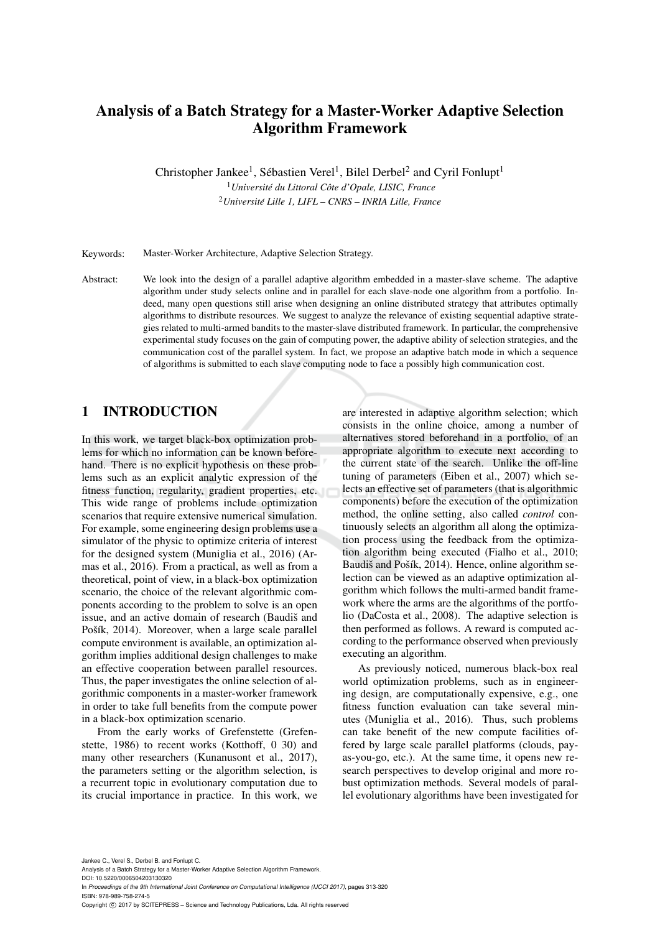# Analysis of a Batch Strategy for a Master-Worker Adaptive Selection Algorithm Framework

Christopher Jankee<sup>1</sup>, Sébastien Verel<sup>1</sup>, Bilel Derbel<sup>2</sup> and Cyril Fonlupt<sup>1</sup>

<sup>1</sup>*Universite du Littoral C ´ ote d'Opale, LISIC, France ˆ* <sup>2</sup>*Universite Lille 1, LIFL – CNRS – INRIA Lille, France ´*

Keywords: Master-Worker Architecture, Adaptive Selection Strategy.

Abstract: We look into the design of a parallel adaptive algorithm embedded in a master-slave scheme. The adaptive algorithm under study selects online and in parallel for each slave-node one algorithm from a portfolio. Indeed, many open questions still arise when designing an online distributed strategy that attributes optimally algorithms to distribute resources. We suggest to analyze the relevance of existing sequential adaptive strategies related to multi-armed bandits to the master-slave distributed framework. In particular, the comprehensive experimental study focuses on the gain of computing power, the adaptive ability of selection strategies, and the communication cost of the parallel system. In fact, we propose an adaptive batch mode in which a sequence of algorithms is submitted to each slave computing node to face a possibly high communication cost.

## 1 INTRODUCTION

In this work, we target black-box optimization problems for which no information can be known beforehand. There is no explicit hypothesis on these problems such as an explicit analytic expression of the fitness function, regularity, gradient properties, etc. This wide range of problems include optimization scenarios that require extensive numerical simulation. For example, some engineering design problems use a simulator of the physic to optimize criteria of interest for the designed system (Muniglia et al., 2016) (Armas et al., 2016). From a practical, as well as from a theoretical, point of view, in a black-box optimization scenario, the choice of the relevant algorithmic components according to the problem to solve is an open issue, and an active domain of research (Baudiš and Pošík, 2014). Moreover, when a large scale parallel compute environment is available, an optimization algorithm implies additional design challenges to make an effective cooperation between parallel resources. Thus, the paper investigates the online selection of algorithmic components in a master-worker framework in order to take full benefits from the compute power in a black-box optimization scenario.

From the early works of Grefenstette (Grefenstette, 1986) to recent works (Kotthoff, 0 30) and many other researchers (Kunanusont et al., 2017), the parameters setting or the algorithm selection, is a recurrent topic in evolutionary computation due to its crucial importance in practice. In this work, we

are interested in adaptive algorithm selection; which consists in the online choice, among a number of alternatives stored beforehand in a portfolio, of an appropriate algorithm to execute next according to the current state of the search. Unlike the off-line tuning of parameters (Eiben et al., 2007) which selects an effective set of parameters (that is algorithmic components) before the execution of the optimization method, the online setting, also called *control* continuously selects an algorithm all along the optimization process using the feedback from the optimization algorithm being executed (Fialho et al., 2010; Baudiš and Pošík, 2014). Hence, online algorithm selection can be viewed as an adaptive optimization algorithm which follows the multi-armed bandit framework where the arms are the algorithms of the portfolio (DaCosta et al., 2008). The adaptive selection is then performed as follows. A reward is computed according to the performance observed when previously executing an algorithm.

As previously noticed, numerous black-box real world optimization problems, such as in engineering design, are computationally expensive, e.g., one fitness function evaluation can take several minutes (Muniglia et al., 2016). Thus, such problems can take benefit of the new compute facilities offered by large scale parallel platforms (clouds, payas-you-go, etc.). At the same time, it opens new research perspectives to develop original and more robust optimization methods. Several models of parallel evolutionary algorithms have been investigated for

Jankee C., Verel S., Derbel B. and Fonlupt C.

Analysis of a Batch Strategy for a Master-Worker Adaptive Selection Algorithm Framework.

DOI: 10.5220/0006504203130320

In *Proceedings of the 9th International Joint Conference on Computational Intelligence (IJCCI 2017)*, pages 313-320 ISBN: 978-989-758-274-5

Copyright © 2017 by SCITEPRESS - Science and Technology Publications, Lda. All rights reserved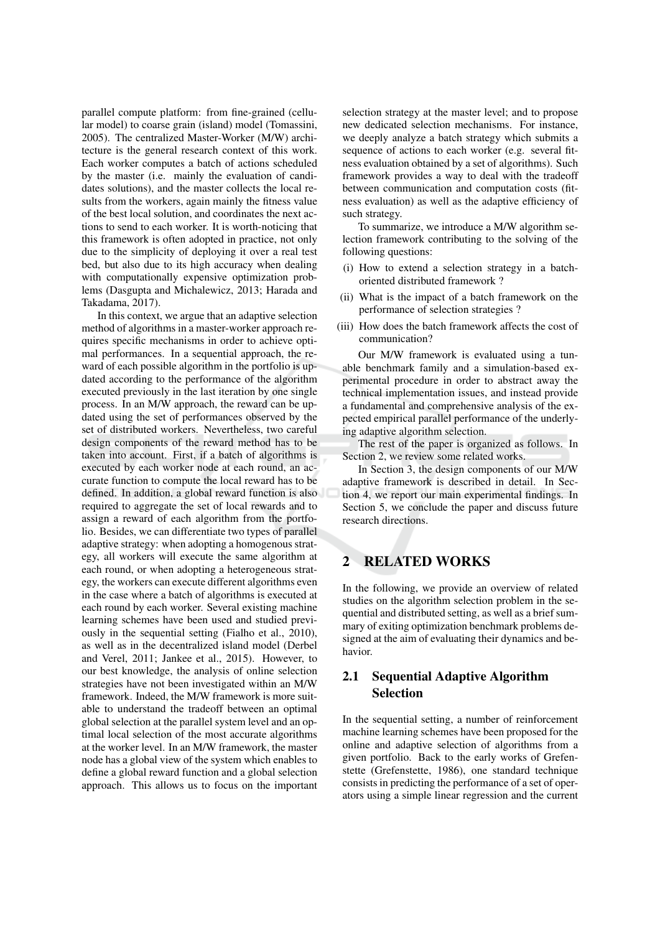parallel compute platform: from fine-grained (cellular model) to coarse grain (island) model (Tomassini, 2005). The centralized Master-Worker (M/W) architecture is the general research context of this work. Each worker computes a batch of actions scheduled by the master (i.e. mainly the evaluation of candidates solutions), and the master collects the local results from the workers, again mainly the fitness value of the best local solution, and coordinates the next actions to send to each worker. It is worth-noticing that this framework is often adopted in practice, not only due to the simplicity of deploying it over a real test bed, but also due to its high accuracy when dealing with computationally expensive optimization problems (Dasgupta and Michalewicz, 2013; Harada and Takadama, 2017).

In this context, we argue that an adaptive selection method of algorithms in a master-worker approach requires specific mechanisms in order to achieve optimal performances. In a sequential approach, the reward of each possible algorithm in the portfolio is updated according to the performance of the algorithm executed previously in the last iteration by one single process. In an M/W approach, the reward can be updated using the set of performances observed by the set of distributed workers. Nevertheless, two careful design components of the reward method has to be taken into account. First, if a batch of algorithms is executed by each worker node at each round, an accurate function to compute the local reward has to be defined. In addition, a global reward function is also required to aggregate the set of local rewards and to assign a reward of each algorithm from the portfolio. Besides, we can differentiate two types of parallel adaptive strategy: when adopting a homogenous strategy, all workers will execute the same algorithm at each round, or when adopting a heterogeneous strategy, the workers can execute different algorithms even in the case where a batch of algorithms is executed at each round by each worker. Several existing machine learning schemes have been used and studied previously in the sequential setting (Fialho et al., 2010), as well as in the decentralized island model (Derbel and Verel, 2011; Jankee et al., 2015). However, to our best knowledge, the analysis of online selection strategies have not been investigated within an M/W framework. Indeed, the M/W framework is more suitable to understand the tradeoff between an optimal global selection at the parallel system level and an optimal local selection of the most accurate algorithms at the worker level. In an M/W framework, the master node has a global view of the system which enables to define a global reward function and a global selection approach. This allows us to focus on the important

selection strategy at the master level; and to propose new dedicated selection mechanisms. For instance, we deeply analyze a batch strategy which submits a sequence of actions to each worker (e.g. several fitness evaluation obtained by a set of algorithms). Such framework provides a way to deal with the tradeoff between communication and computation costs (fitness evaluation) as well as the adaptive efficiency of such strategy.

To summarize, we introduce a M/W algorithm selection framework contributing to the solving of the following questions:

- (i) How to extend a selection strategy in a batchoriented distributed framework?
- (ii) What is the impact of a batch framework on the performance of selection strategies ?
- (iii) How does the batch framework affects the cost of communication?

Our M/W framework is evaluated using a tunable benchmark family and a simulation-based experimental procedure in order to abstract away the technical implementation issues, and instead provide a fundamental and comprehensive analysis of the expected empirical parallel performance of the underlying adaptive algorithm selection.

The rest of the paper is organized as follows. In Section 2, we review some related works.

In Section 3, the design components of our M/W adaptive framework is described in detail. In Section 4, we report our main experimental findings. In Section 5, we conclude the paper and discuss future research directions.

#### $\overline{2}$ **RELATED WORKS**

In the following, we provide an overview of related studies on the algorithm selection problem in the sequential and distributed setting, as well as a brief summary of exiting optimization benchmark problems designed at the aim of evaluating their dynamics and behavior

### $2.1$ **Sequential Adaptive Algorithm Selection**

In the sequential setting, a number of reinforcement machine learning schemes have been proposed for the online and adaptive selection of algorithms from a given portfolio. Back to the early works of Grefenstette (Grefenstette, 1986), one standard technique consists in predicting the performance of a set of operators using a simple linear regression and the current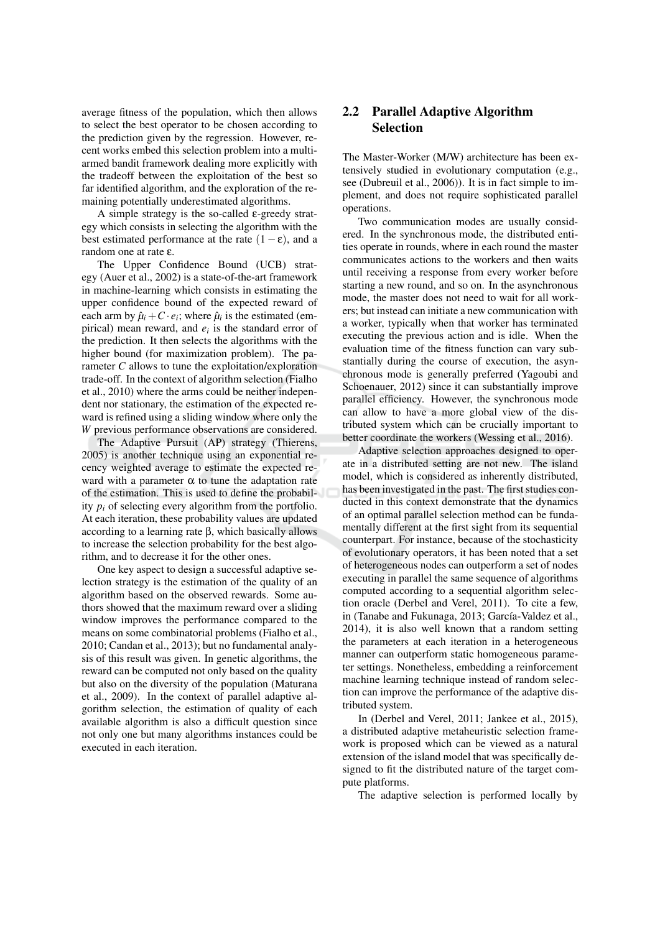average fitness of the population, which then allows to select the best operator to be chosen according to the prediction given by the regression. However, recent works embed this selection problem into a multiarmed bandit framework dealing more explicitly with the tradeoff between the exploitation of the best so far identified algorithm, and the exploration of the remaining potentially underestimated algorithms.

A simple strategy is the so-called  $\epsilon$ -greedy strategy which consists in selecting the algorithm with the best estimated performance at the rate  $(1 - \varepsilon)$ , and a random one at rate  $\varepsilon$ .

The Upper Confidence Bound (UCB) strategy (Auer et al., 2002) is a state-of-the-art framework in machine-learning which consists in estimating the upper confidence bound of the expected reward of each arm by  $\hat{\mu}_i + C \cdot e_i$ ; where  $\hat{\mu}_i$  is the estimated (empirical) mean reward, and  $e_i$  is the standard error of the prediction. It then selects the algorithms with the higher bound (for maximization problem). The parameter  $C$  allows to tune the exploitation/exploration trade-off. In the context of algorithm selection (Fialho et al., 2010) where the arms could be neither independent nor stationary, the estimation of the expected reward is refined using a sliding window where only the W previous performance observations are considered.

The Adaptive Pursuit (AP) strategy (Thierens, 2005) is another technique using an exponential recency weighted average to estimate the expected reward with a parameter  $\alpha$  to tune the adaptation rate of the estimation. This is used to define the probability  $p_i$  of selecting every algorithm from the portfolio. At each iteration, these probability values are updated according to a learning rate  $\beta$ , which basically allows to increase the selection probability for the best algorithm, and to decrease it for the other ones.

One key aspect to design a successful adaptive selection strategy is the estimation of the quality of an algorithm based on the observed rewards. Some authors showed that the maximum reward over a sliding window improves the performance compared to the means on some combinatorial problems (Fialho et al., 2010; Candan et al., 2013); but no fundamental analysis of this result was given. In genetic algorithms, the reward can be computed not only based on the quality but also on the diversity of the population (Maturana et al., 2009). In the context of parallel adaptive algorithm selection, the estimation of quality of each available algorithm is also a difficult question since not only one but many algorithms instances could be executed in each iteration.

## 2.2 Parallel Adaptive Algorithm **Selection**

The Master-Worker (M/W) architecture has been extensively studied in evolutionary computation (e.g., see (Dubreuil et al., 2006)). It is in fact simple to implement, and does not require sophisticated parallel operations.

Two communication modes are usually considered. In the synchronous mode, the distributed entities operate in rounds, where in each round the master communicates actions to the workers and then waits until receiving a response from every worker before starting a new round, and so on. In the asynchronous mode, the master does not need to wait for all workers; but instead can initiate a new communication with a worker, typically when that worker has terminated executing the previous action and is idle. When the evaluation time of the fitness function can vary substantially during the course of execution, the asynchronous mode is generally preferred (Yagoubi and Schoenauer, 2012) since it can substantially improve parallel efficiency. However, the synchronous mode can allow to have a more global view of the distributed system which can be crucially important to better coordinate the workers (Wessing et al., 2016).

Adaptive selection approaches designed to operate in a distributed setting are not new. The island model, which is considered as inherently distributed, has been investigated in the past. The first studies conducted in this context demonstrate that the dynamics of an optimal parallel selection method can be fundamentally different at the first sight from its sequential counterpart. For instance, because of the stochasticity of evolutionary operators, it has been noted that a set of heterogeneous nodes can outperform a set of nodes executing in parallel the same sequence of algorithms computed according to a sequential algorithm selection oracle (Derbel and Verel, 2011). To cite a few, in (Tanabe and Fukunaga, 2013; García-Valdez et al., 2014), it is also well known that a random setting the parameters at each iteration in a heterogeneous manner can outperform static homogeneous parameter settings. Nonetheless, embedding a reinforcement machine learning technique instead of random selection can improve the performance of the adaptive distributed system.

In (Derbel and Verel, 2011; Jankee et al., 2015). a distributed adaptive metaheuristic selection framework is proposed which can be viewed as a natural extension of the island model that was specifically designed to fit the distributed nature of the target compute platforms.

The adaptive selection is performed locally by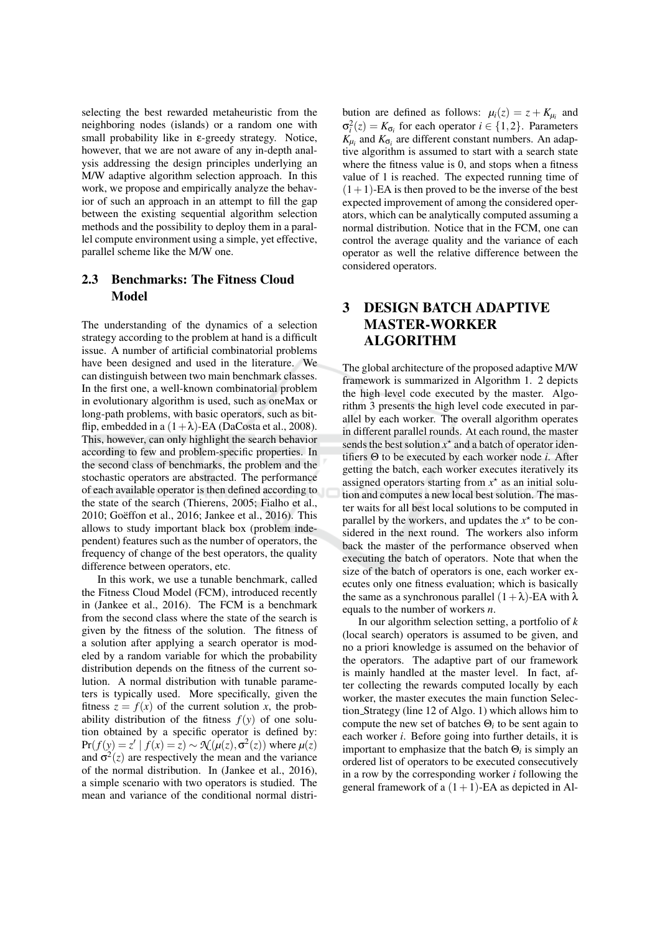selecting the best rewarded metaheuristic from the neighboring nodes (islands) or a random one with small probability like in  $\varepsilon$ -greedy strategy. Notice, however, that we are not aware of any in-depth analysis addressing the design principles underlying an M/W adaptive algorithm selection approach. In this work, we propose and empirically analyze the behavior of such an approach in an attempt to fill the gap between the existing sequential algorithm selection methods and the possibility to deploy them in a parallel compute environment using a simple, vet effective. parallel scheme like the M/W one.

### $2.3$ **Benchmarks: The Fitness Cloud Model**

The understanding of the dynamics of a selection strategy according to the problem at hand is a difficult issue. A number of artificial combinatorial problems have been designed and used in the literature. We can distinguish between two main benchmark classes. In the first one, a well-known combinatorial problem in evolutionary algorithm is used, such as one Max or long-path problems, with basic operators, such as bitflip, embedded in a  $(1+\lambda)$ -EA (DaCosta et al., 2008). This, however, can only highlight the search behavior according to few and problem-specific properties. In the second class of benchmarks, the problem and the stochastic operators are abstracted. The performance of each available operator is then defined according to the state of the search (Thierens, 2005; Fialho et al., 2010; Goëffon et al., 2016; Jankee et al., 2016). This allows to study important black box (problem independent) features such as the number of operators, the frequency of change of the best operators, the quality difference between operators, etc.

In this work, we use a tunable benchmark, called the Fitness Cloud Model (FCM), introduced recently in (Jankee et al., 2016). The FCM is a benchmark from the second class where the state of the search is given by the fitness of the solution. The fitness of a solution after applying a search operator is modeled by a random variable for which the probability distribution depends on the fitness of the current solution. A normal distribution with tunable parameters is typically used. More specifically, given the fitness  $z = f(x)$  of the current solution x, the probability distribution of the fitness  $f(y)$  of one solution obtained by a specific operator is defined by:  $Pr(f(y) = z' | f(x) = z) \sim \mathcal{N}(\mu(z), \sigma^2(z))$  where  $\mu(z)$ and  $\sigma^2(z)$  are respectively the mean and the variance of the normal distribution. In (Jankee et al., 2016), a simple scenario with two operators is studied. The mean and variance of the conditional normal distribution are defined as follows:  $\mu_i(z) = z + K_{\mu_i}$  and  $\sigma_i^2(z) = K_{\sigma_i}$  for each operator  $i \in \{1,2\}$ . Parameters  $K_{\mu_i}$  and  $K_{\sigma_i}$  are different constant numbers. An adaptive algorithm is assumed to start with a search state where the fitness value is 0, and stops when a fitness value of 1 is reached. The expected running time of  $(1+1)$ -EA is then proved to be the inverse of the best expected improvement of among the considered operators, which can be analytically computed assuming a normal distribution. Notice that in the FCM, one can control the average quality and the variance of each operator as well the relative difference between the considered operators.

## 3 **DESIGN BATCH ADAPTIVE MASTER-WORKER ALGORITHM**

The global architecture of the proposed adaptive M/W framework is summarized in Algorithm 1. 2 depicts the high level code executed by the master. Algorithm 3 presents the high level code executed in parallel by each worker. The overall algorithm operates in different parallel rounds. At each round, the master sends the best solution  $x^*$  and a batch of operator identifiers  $\Theta$  to be executed by each worker node *i*. After getting the batch, each worker executes iteratively its assigned operators starting from  $x^*$  as an initial solution and computes a new local best solution. The master waits for all best local solutions to be computed in parallel by the workers, and updates the  $x^*$  to be considered in the next round. The workers also inform back the master of the performance observed when executing the batch of operators. Note that when the size of the batch of operators is one, each worker executes only one fitness evaluation; which is basically the same as a synchronous parallel  $(1 + \lambda)$ -EA with  $\lambda$ equals to the number of workers  $n$ .

In our algorithm selection setting, a portfolio of  $k$ (local search) operators is assumed to be given, and no a priori knowledge is assumed on the behavior of the operators. The adaptive part of our framework is mainly handled at the master level. In fact, after collecting the rewards computed locally by each worker, the master executes the main function Selection\_Strategy (line 12 of Algo, 1) which allows him to compute the new set of batches  $\Theta_i$  to be sent again to each worker *i*. Before going into further details, it is important to emphasize that the batch  $\Theta_i$  is simply an ordered list of operators to be executed consecutively in a row by the corresponding worker  $i$  following the general framework of a  $(1 + 1)$ -EA as depicted in Al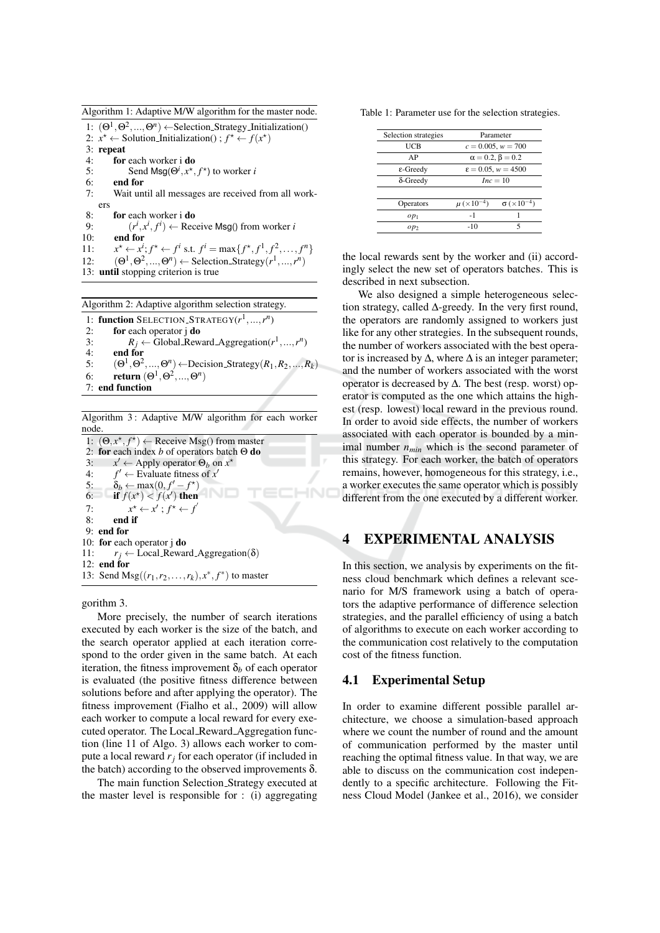Algorithm 1: Adaptive M/W algorithm for the master node.

1:  $(\Theta^1, \Theta^2, ..., \Theta^n) \leftarrow$ Selection\_Strategy\_Initialization() 2:  $x^* \leftarrow$  Solution\_Initialization();  $f^* \leftarrow f(x^*)$  $3:$  repeat  $4:$ for each worker i do  $5:$ Send Msg( $\Theta^i$ ,  $x^*$ ,  $f^*$ ) to worker i 6: end for  $7:$ Wait until all messages are received from all workers  $8:$ for each worker i do  $9:$  $(r^i, x^i, f^i) \leftarrow$  Receive Msg() from worker i  $10:$ end for  $x^* \leftarrow x^i; f^* \leftarrow f^i \text{ s.t. } f^i = \max\{f^*, f^1, f^2, \dots, f^n\}$  $11:$  $12:$  $(\Theta^1, \Theta^2, ..., \Theta^n) \leftarrow$  Selection\_Strategy $(r^1, ..., r^n)$ 13: until stopping criterion is true

Algorithm 2: Adaptive algorithm selection strategy.

1: function SELECTION\_STRATEGY( $r^1$ ,..., $r^n$ )  $2:$ for each operator j do  $R_i \leftarrow$  Global\_Reward\_Aggregation( $r^1, ..., r^n$ )  $3:$  $4:$ end for  $5:$  $(\Theta^1, \Theta^2, ..., \Theta^n) \leftarrow$ Decision\_Strategy $(R_1, R_2, ..., R_k)$ return  $(\Theta^1, \Theta^2, ..., \Theta^n)$ 6: 7: end function

Algorithm 3: Adaptive M/W algorithm for each worker node.

1:  $(\Theta, x^*, f^*)$  ← Receive Msg() from master 2: for each index  $b$  of operators batch  $\Theta$  do  $x' \leftarrow$  Apply operator  $\Theta_b$  on  $x^*$  $3:$  $f' \leftarrow$  Evaluate fitness of  $x'$  $4:$  $\delta_b \leftarrow \max(0, f' - f^{\star})$ <br>if  $f(x^{\star}) < f(x')$  then  $5:$ 6:  $7:$  $x^* \leftarrow x'$ ;  $f^* \leftarrow f'$ end if  $8:$ 9: end for 10: for each operator j do  $11:$  $r_i \leftarrow$  Local\_Reward\_Aggregation( $\delta$ )  $12:$  end for 13: Send Msg( $(r_1, r_2,..., r_k)$ ,  $x^*, f^*$ ) to master

gorithm 3.

More precisely, the number of search iterations executed by each worker is the size of the batch, and the search operator applied at each iteration correspond to the order given in the same batch. At each iteration, the fitness improvement  $\delta_b$  of each operator is evaluated (the positive fitness difference between solutions before and after applying the operator). The fitness improvement (Fialho et al., 2009) will allow each worker to compute a local reward for every executed operator. The Local\_Reward\_Aggregation function (line 11 of Algo. 3) allows each worker to compute a local reward  $r_i$  for each operator (if included in the batch) according to the observed improvements  $\delta$ .

The main function Selection\_Strategy executed at the master level is responsible for  $:$  (i) aggregating Table 1: Parameter use for the selection strategies.

| Selection strategies | Parameter                      |                                        |
|----------------------|--------------------------------|----------------------------------------|
| UCB                  | $c = 0.005, w = 700$           |                                        |
| AP                   | $\alpha = 0.2$ , $\beta = 0.2$ |                                        |
| $\epsilon$ -Greedy   | $\epsilon = 0.05, w = 4500$    |                                        |
| $\delta$ -Greedy     | $Inc = 10$                     |                                        |
|                      |                                |                                        |
| Operators            | $\mu$ (×10 <sup>-4</sup> )     | $\sigma$ ( $\times$ 10 <sup>-4</sup> ) |
| $op_1$               | $-1$                           |                                        |
| $op_2$               | -10                            | 5                                      |
|                      |                                |                                        |

the local rewards sent by the worker and (ii) accordingly select the new set of operators batches. This is described in next subsection.

We also designed a simple heterogeneous selection strategy, called  $\Delta$ -greedy. In the very first round, the operators are randomly assigned to workers just like for any other strategies. In the subsequent rounds, the number of workers associated with the best operator is increased by  $\Delta$ , where  $\Delta$  is an integer parameter; and the number of workers associated with the worst operator is decreased by  $\Delta$ . The best (resp. worst) operator is computed as the one which attains the highest (resp. lowest) local reward in the previous round. In order to avoid side effects, the number of workers associated with each operator is bounded by a minimal number  $n_{min}$  which is the second parameter of this strategy. For each worker, the batch of operators remains, however, homogeneous for this strategy, i.e., a worker executes the same operator which is possibly different from the one executed by a different worker.

#### **EXPERIMENTAL ANALYSIS**  $\overline{\mathbf{4}}$

In this section, we analysis by experiments on the fitness cloud benchmark which defines a relevant scenario for M/S framework using a batch of operators the adaptive performance of difference selection strategies, and the parallel efficiency of using a batch of algorithms to execute on each worker according to the communication cost relatively to the computation cost of the fitness function.

#### 4.1 **Experimental Setup**

In order to examine different possible parallel architecture, we choose a simulation-based approach where we count the number of round and the amount of communication performed by the master until reaching the optimal fitness value. In that way, we are able to discuss on the communication cost independently to a specific architecture. Following the Fitness Cloud Model (Jankee et al., 2016), we consider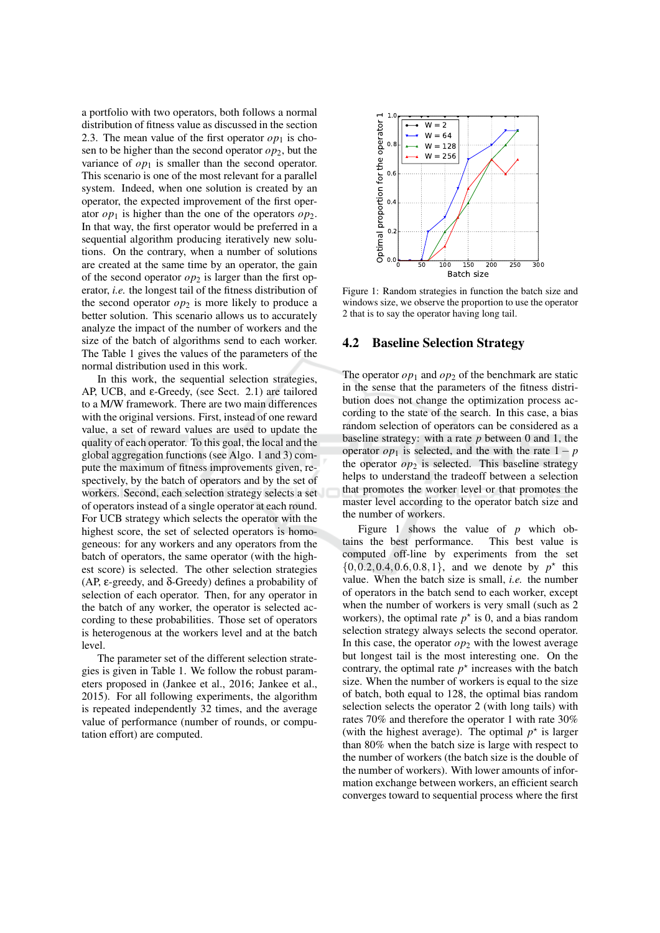a portfolio with two operators, both follows a normal distribution of fitness value as discussed in the section 2.3. The mean value of the first operator  $op<sub>1</sub>$  is chosen to be higher than the second operator  $op_2$ , but the variance of  $op_1$  is smaller than the second operator. This scenario is one of the most relevant for a parallel system. Indeed, when one solution is created by an operator, the expected improvement of the first operator  $op_1$  is higher than the one of the operators  $op_2$ . In that way, the first operator would be preferred in a sequential algorithm producing iteratively new solutions. On the contrary, when a number of solutions are created at the same time by an operator, the gain of the second operator  $op_2$  is larger than the first operator, *i.e.* the longest tail of the fitness distribution of the second operator  $op_2$  is more likely to produce a better solution. This scenario allows us to accurately analyze the impact of the number of workers and the size of the batch of algorithms send to each worker. The Table 1 gives the values of the parameters of the normal distribution used in this work.

In this work, the sequential selection strategies, AP, UCB, and  $\varepsilon$ -Greedy, (see Sect. 2.1) are tailored to a M/W framework. There are two main differences with the original versions. First, instead of one reward value, a set of reward values are used to update the quality of each operator. To this goal, the local and the global aggregation functions (see Algo. 1 and 3) compute the maximum of fitness improvements given, respectively, by the batch of operators and by the set of workers. Second, each selection strategy selects a set of operators instead of a single operator at each round. For UCB strategy which selects the operator with the highest score, the set of selected operators is homogeneous: for any workers and any operators from the batch of operators, the same operator (with the highest score) is selected. The other selection strategies (AP,  $\varepsilon$ -greedy, and  $\delta$ -Greedy) defines a probability of selection of each operator. Then, for any operator in the batch of any worker, the operator is selected according to these probabilities. Those set of operators is heterogenous at the workers level and at the batch level

The parameter set of the different selection strategies is given in Table 1. We follow the robust parameters proposed in (Jankee et al., 2016; Jankee et al., 2015). For all following experiments, the algorithm is repeated independently 32 times, and the average value of performance (number of rounds, or computation effort) are computed.



Figure 1: Random strategies in function the batch size and windows size, we observe the proportion to use the operator 2 that is to say the operator having long tail.

#### 4.2 **Baseline Selection Strategy**

The operator  $op_1$  and  $op_2$  of the benchmark are static in the sense that the parameters of the fitness distribution does not change the optimization process according to the state of the search. In this case, a bias random selection of operators can be considered as a baseline strategy: with a rate  $p$  between 0 and 1, the operator  $op_1$  is selected, and the with the rate  $1-p$ the operator  $op_2$  is selected. This baseline strategy helps to understand the tradeoff between a selection that promotes the worker level or that promotes the master level according to the operator batch size and the number of workers.

Figure 1 shows the value of  $p$  which obtains the best performance. This best value is computed off-line by experiments from the set  $\{0, 0.2, 0.4, 0.6, 0.8, 1\}$ , and we denote by  $p^*$  this value. When the batch size is small, *i.e.* the number of operators in the batch send to each worker, except when the number of workers is very small (such as 2 workers), the optimal rate  $p^*$  is 0, and a bias random selection strategy always selects the second operator. In this case, the operator  $op_2$  with the lowest average but longest tail is the most interesting one. On the contrary, the optimal rate  $p^*$  increases with the batch size. When the number of workers is equal to the size of batch, both equal to 128, the optimal bias random selection selects the operator 2 (with long tails) with rates 70% and therefore the operator 1 with rate 30% (with the highest average). The optimal  $p^*$  is larger than 80% when the batch size is large with respect to the number of workers (the batch size is the double of the number of workers). With lower amounts of information exchange between workers, an efficient search converges toward to sequential process where the first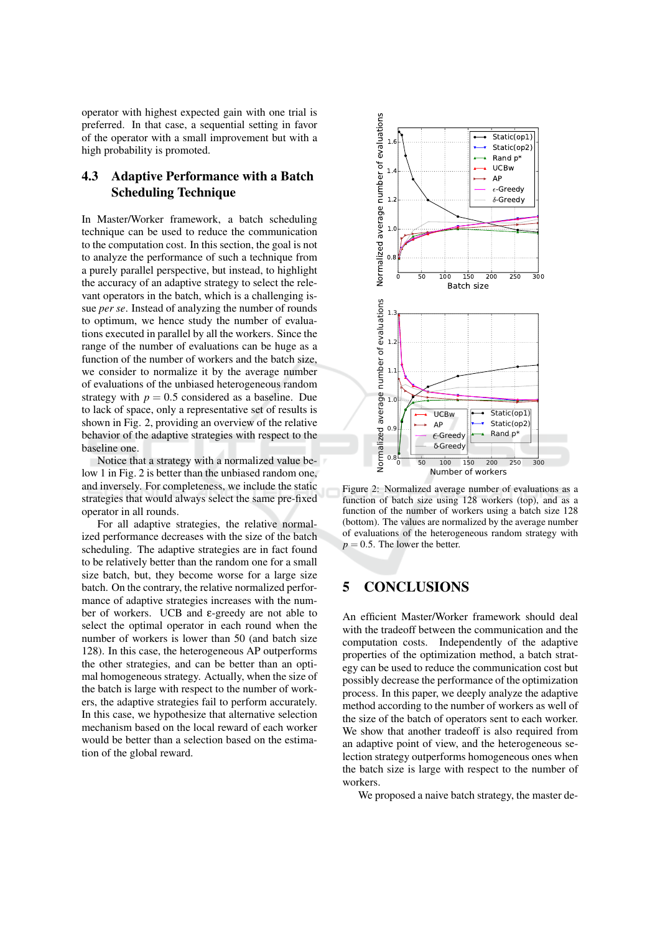operator with highest expected gain with one trial is preferred. In that case, a sequential setting in favor of the operator with a small improvement but with a high probability is promoted.

### **Adaptive Performance with a Batch** 4.3 **Scheduling Technique**

In Master/Worker framework, a batch scheduling technique can be used to reduce the communication to the computation cost. In this section, the goal is not to analyze the performance of such a technique from a purely parallel perspective, but instead, to highlight the accuracy of an adaptive strategy to select the relevant operators in the batch, which is a challenging issue *per se*. Instead of analyzing the number of rounds to optimum, we hence study the number of evaluations executed in parallel by all the workers. Since the range of the number of evaluations can be huge as a function of the number of workers and the batch size, we consider to normalize it by the average number of evaluations of the unbiased heterogeneous random strategy with  $p = 0.5$  considered as a baseline. Due to lack of space, only a representative set of results is shown in Fig. 2, providing an overview of the relative behavior of the adaptive strategies with respect to the baseline one.

Notice that a strategy with a normalized value below 1 in Fig. 2 is better than the unbiased random one, and inversely. For completeness, we include the static strategies that would always select the same pre-fixed operator in all rounds.

For all adaptive strategies, the relative normalized performance decreases with the size of the batch scheduling. The adaptive strategies are in fact found to be relatively better than the random one for a small size batch, but, they become worse for a large size batch. On the contrary, the relative normalized performance of adaptive strategies increases with the number of workers. UCB and  $\varepsilon$ -greedy are not able to select the optimal operator in each round when the number of workers is lower than 50 (and batch size 128). In this case, the heterogeneous AP outperforms the other strategies, and can be better than an optimal homogeneous strategy. Actually, when the size of the batch is large with respect to the number of workers, the adaptive strategies fail to perform accurately. In this case, we hypothesize that alternative selection mechanism based on the local reward of each worker would be better than a selection based on the estimation of the global reward.



Figure 2: Normalized average number of evaluations as a function of batch size using 128 workers (top), and as a function of the number of workers using a batch size 128 (bottom). The values are normalized by the average number of evaluations of the heterogeneous random strategy with  $p = 0.5$ . The lower the better.

#### 5 **CONCLUSIONS**

An efficient Master/Worker framework should deal with the tradeoff between the communication and the computation costs. Independently of the adaptive properties of the optimization method, a batch strategy can be used to reduce the communication cost but possibly decrease the performance of the optimization process. In this paper, we deeply analyze the adaptive method according to the number of workers as well of the size of the batch of operators sent to each worker. We show that another tradeoff is also required from an adaptive point of view, and the heterogeneous selection strategy outperforms homogeneous ones when the batch size is large with respect to the number of workers.

We proposed a naive batch strategy, the master de-